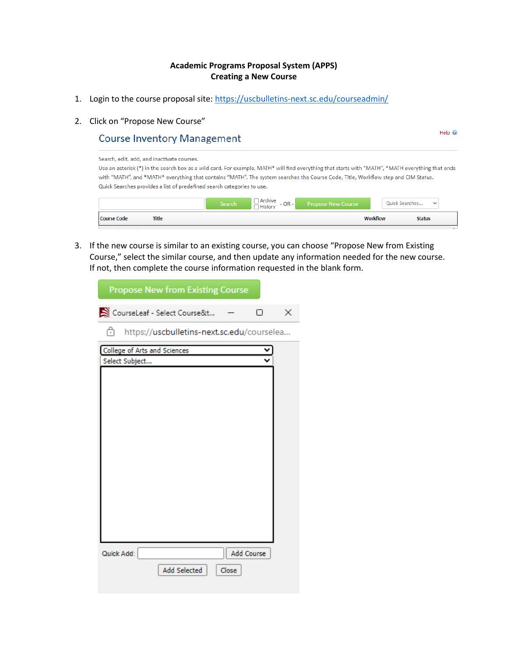## **Academic Programs Proposal System (APPS) Creating a New Course**

- 1. Login to the course proposal site:<https://uscbulletins-next.sc.edu/courseadmin/>
- 2. Click on "Propose New Course"

## **Course Inventory Management**

Search, edit, add, and inactivate courses. Use an asterisk (\*) in the search box as a wild card. For example, MATH\* will find everything that starts with "MATH", \*MATH everything that ends with "MATH", and \*MATH\* everything that contains "MATH". The system searches the Course Code, Title, Workflow step and CIM Status. Quick Searches provides a list of predefined search categories to use.

 $HeIn$ <sup> $@$ </sup>

|                    |              | Search | Archive<br>$- OR -$<br>$\neg$ History | <b>Propose New Course</b> | Quick Searches<br>$\checkmark$   |             |
|--------------------|--------------|--------|---------------------------------------|---------------------------|----------------------------------|-------------|
| <b>Course Code</b> | <b>Title</b> |        |                                       |                           | <b>Workflow</b><br><b>Status</b> |             |
|                    |              |        |                                       |                           |                                  | <b>SALE</b> |

3. If the new course is similar to an existing course, you can choose "Propose New from Existing Course," select the similar course, and then update any information needed for the new course. If not, then complete the course information requested in the blank form.

| <b>Propose New from Existing Course</b>               |          |
|-------------------------------------------------------|----------|
| CourseLeaf - Select Course&t                          | $\times$ |
| ᠿ<br>https://uscbulletins-next.sc.edu/courselea       |          |
| <b>College of Arts and Sciences</b><br>Select Subject |          |
| Add Course<br>Quick Add:<br>Add Selected<br>Close     |          |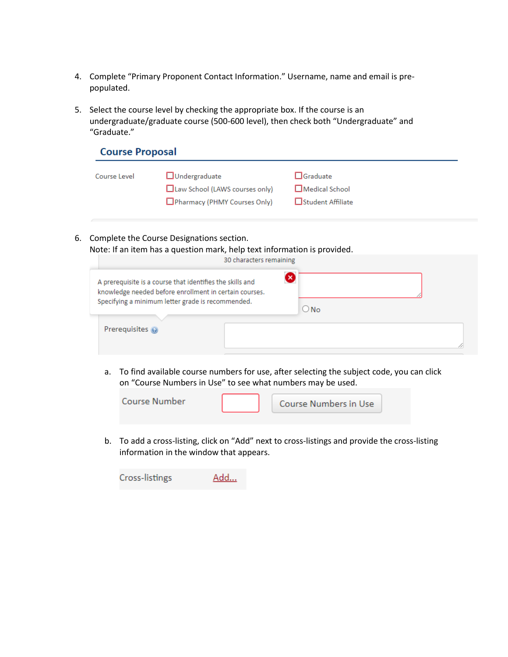- 4. Complete "Primary Proponent Contact Information." Username, name and email is prepopulated.
- 5. Select the course level by checking the appropriate box. If the course is an undergraduate/graduate course (500-600 level), then check both "Undergraduate" and "Graduate."

| <b>Course Proposal</b> |                                                        |                                   |  |  |  |  |
|------------------------|--------------------------------------------------------|-----------------------------------|--|--|--|--|
| Course Level           | $\Box$ Undergraduate<br>Law School (LAWS courses only) | $\Box$ Graduate<br>Medical School |  |  |  |  |
|                        | Pharmacy (PHMY Courses Only)                           | □Student Affiliate                |  |  |  |  |

6. Complete the Course Designations section. Note: If an item has a question mark, help text information is provided.

|                                                                                                                                                                          | 30 characters remaining   |               |
|--------------------------------------------------------------------------------------------------------------------------------------------------------------------------|---------------------------|---------------|
| A prerequisite is a course that identifies the skills and<br>knowledge needed before enrollment in certain courses.<br>Specifying a minimum letter grade is recommended. | $\boldsymbol{\mathsf{x}}$ | $\bigcirc$ No |
| Prerequisites @                                                                                                                                                          |                           |               |

a. To find available course numbers for use, after selecting the subject code, you can click on "Course Numbers in Use" to see what numbers may be used.



b. To add a cross-listing, click on "Add" next to cross-listings and provide the cross-listing information in the window that appears.

| Cross-listings | Add |
|----------------|-----|
|----------------|-----|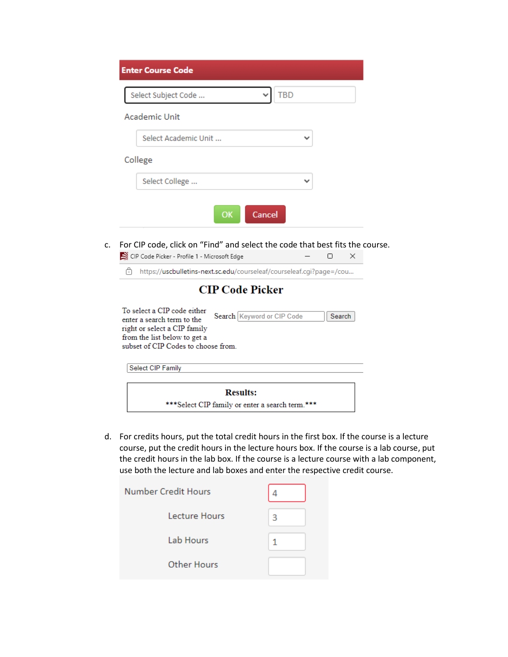| <b>Enter Course Code</b>          |   |
|-----------------------------------|---|
| <b>TBD</b><br>Select Subject Code |   |
| <b>Academic Unit</b>              |   |
| Select Academic Unit              | v |
| College                           |   |
| Select College                    |   |
| Cancel<br>OK                      |   |

c. For CIP code, click on "Find" and select the code that best fits the course.  $\blacksquare$  CIP Code Picker - Profile 1 - Microsoft Edge  $-\square$   $\times$ 

| $\ddot{\phantom{1}}$                                                                                                                                            | https://uscbulletins-next.sc.edu/courseleaf/courseleaf.cqi?page=/cou |
|-----------------------------------------------------------------------------------------------------------------------------------------------------------------|----------------------------------------------------------------------|
|                                                                                                                                                                 | <b>CIP Code Picker</b>                                               |
| To select a CIP code either<br>enter a search term to the<br>right or select a CIP family<br>from the list below to get a<br>subset of CIP Codes to choose from | Search   Keyword or CIP Code<br>Search                               |

| Select CIP Family                                |  |
|--------------------------------------------------|--|
|                                                  |  |
| <b>Results:</b>                                  |  |
| *** Select CIP family or enter a search term.*** |  |

d. For credits hours, put the total credit hours in the first box. If the course is a lecture course, put the credit hours in the lecture hours box. If the course is a lab course, put the credit hours in the lab box. If the course is a lecture course with a lab component, use both the lecture and lab boxes and enter the respective credit course.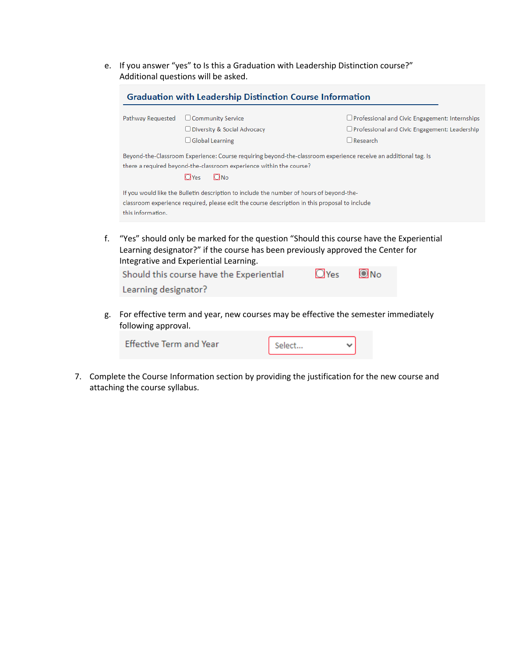e. If you answer "yes" to Is this a Graduation with Leadership Distinction course?" Additional questions will be asked.

| Pathway Requested | $\Box$ Community Service                                                                                        | $\Box$ Professional and Civic Engagement: Internships |
|-------------------|-----------------------------------------------------------------------------------------------------------------|-------------------------------------------------------|
|                   | $\Box$ Diversity & Social Advocacy                                                                              | $\Box$ Professional and Civic Engagement: Leadership  |
|                   | $\Box$ Global Learning                                                                                          | $\Box$ Research                                       |
|                   | Beyond-the-Classroom Experience: Course requiring beyond-the-classroom experience receive an additional tag. Is |                                                       |
|                   | there a required beyond-the-classroom experience within the course?                                             |                                                       |
|                   | $\Box$ No<br>$\bigcirc$ Yes                                                                                     |                                                       |
|                   | If you would like the Bulletin description to include the number of hours of beyond-the-                        |                                                       |
|                   | classroom experience required, please edit the course description in this proposal to include                   |                                                       |
| this information. |                                                                                                                 |                                                       |

f. "Yes" should only be marked for the question "Should this course have the Experiential Learning designator?" if the course has been previously approved the Center for Integrative and Experiential Learning.



g. For effective term and year, new courses may be effective the semester immediately following approval.

| <b>Effective Term and Year</b> | Select |  |
|--------------------------------|--------|--|
|                                |        |  |

7. Complete the Course Information section by providing the justification for the new course and attaching the course syllabus.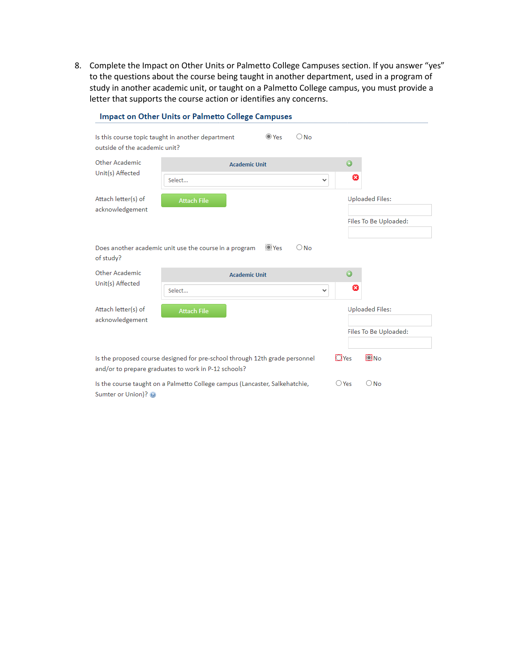8. Complete the Impact on Other Units or Palmetto College Campuses section. If you answer "yes" to the questions about the course being taught in another department, used in a program of study in another academic unit, or taught on a Palmetto College campus, you must provide a letter that supports the course action or identifies any concerns.

|                                                                                                                                     | <b>Impact on Other Units or Palmetto College Campuses</b> |                      |             |               |                |         |                        |
|-------------------------------------------------------------------------------------------------------------------------------------|-----------------------------------------------------------|----------------------|-------------|---------------|----------------|---------|------------------------|
| Is this course topic taught in another department<br>outside of the academic unit?                                                  |                                                           |                      | $\odot$ Yes | $\bigcirc$ No |                |         |                        |
| Other Academic                                                                                                                      |                                                           | <b>Academic Unit</b> |             |               |                | $\odot$ |                        |
| Unit(s) Affected                                                                                                                    | Select                                                    |                      |             | v             |                | Ø       |                        |
| Attach letter(s) of<br>acknowledgement                                                                                              | <b>Attach File</b>                                        |                      |             |               |                |         | <b>Uploaded Files:</b> |
|                                                                                                                                     |                                                           |                      |             |               |                |         | Files To Be Uploaded:  |
| Does another academic unit use the course in a program<br>of study?                                                                 |                                                           |                      | OYes        | $\bigcirc$ No |                |         |                        |
| Other Academic                                                                                                                      |                                                           | <b>Academic Unit</b> |             |               |                | $\odot$ |                        |
| Unit(s) Affected                                                                                                                    | Select                                                    |                      |             | v             |                | Ø       |                        |
| Attach letter(s) of                                                                                                                 | <b>Attach File</b>                                        |                      |             |               |                |         | <b>Uploaded Files:</b> |
| acknowledgement                                                                                                                     |                                                           |                      |             |               |                |         | Files To Be Uploaded:  |
|                                                                                                                                     |                                                           |                      |             |               |                |         |                        |
| Is the proposed course designed for pre-school through 12th grade personnel<br>and/or to prepare graduates to work in P-12 schools? |                                                           |                      |             |               | $\Box$ Yes     |         | $\Omega_{\rm No}$      |
| Is the course taught on a Palmetto College campus (Lancaster, Salkehatchie,<br>Sumter or Union)?                                    |                                                           |                      |             |               | $\bigcirc$ Yes |         | $\bigcirc$ No          |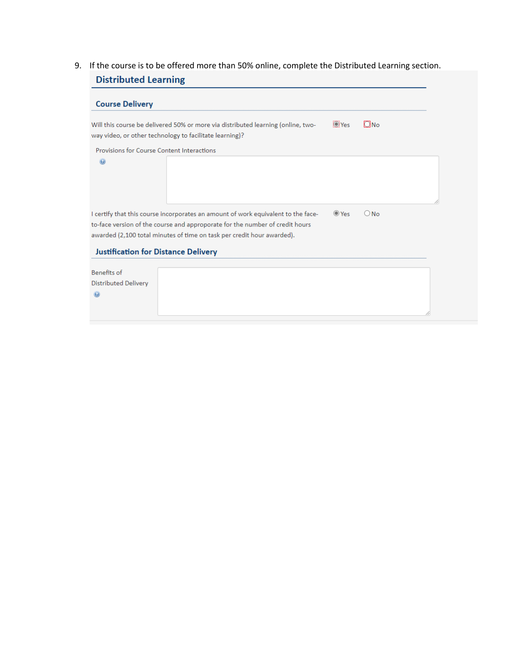9. If the course is to be offered more than 50% online, complete the Distributed Learning section.**Distributed Learning** 

|                                            | Will this course be delivered 50% or more via distributed learning (online, two-<br>way video, or other technology to facilitate learning)?                                                                                                 | <b>O</b> iYes | $\Box$ No |  |
|--------------------------------------------|---------------------------------------------------------------------------------------------------------------------------------------------------------------------------------------------------------------------------------------------|---------------|-----------|--|
| Provisions for Course Content Interactions |                                                                                                                                                                                                                                             |               |           |  |
|                                            |                                                                                                                                                                                                                                             |               |           |  |
| <b>Justification for Distance Delivery</b> | I certify that this course incorporates an amount of work equivalent to the face-<br>to-face version of the course and approporate for the number of credit hours<br>awarded (2,100 total minutes of time on task per credit hour awarded). | $OY_{PS}$     | $O$ No    |  |
| <b>Benefits of</b>                         |                                                                                                                                                                                                                                             |               |           |  |
| <b>Distributed Delivery</b>                |                                                                                                                                                                                                                                             |               |           |  |